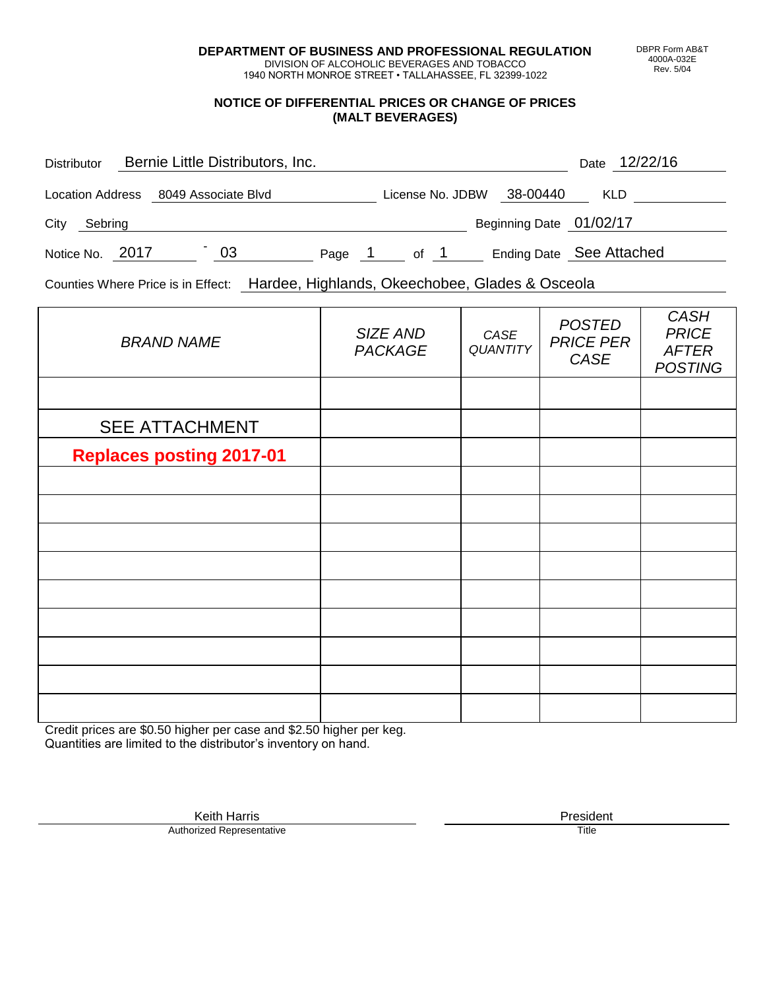**DEPARTMENT OF BUSINESS AND PROFESSIONAL REGULATION** DIVISION OF ALCOHOLIC BEVERAGES AND TOBACCO

1940 NORTH MONROE STREET • TALLAHASSEE, FL 32399-1022

## **NOTICE OF DIFFERENTIAL PRICES OR CHANGE OF PRICES (MALT BEVERAGES)**

| <b>Distributor</b> |         |  | Bernie Little Distributors, Inc.     |        |                  |      |                          |            | Date 12/22/16 |  |
|--------------------|---------|--|--------------------------------------|--------|------------------|------|--------------------------|------------|---------------|--|
|                    |         |  | Location Address 8049 Associate Blvd |        | License No. JDBW |      | 38-00440                 | <b>KLD</b> |               |  |
| City               | Sebring |  |                                      |        |                  |      | Beginning Date 01/02/17  |            |               |  |
| Notice No. 2017    |         |  | 03                                   | Page 1 |                  | of 1 | Ending Date See Attached |            |               |  |

Counties Where Price is in Effect: Hardee, Highlands, Okeechobee, Glades & Osceola

| <b>BRAND NAME</b>               | SIZE AND<br><b>PACKAGE</b> | CASE<br><b>QUANTITY</b> | <b>POSTED</b><br><b>PRICE PER</b><br>CASE | <b>CASH</b><br><b>PRICE</b><br><b>AFTER</b><br><b>POSTING</b> |
|---------------------------------|----------------------------|-------------------------|-------------------------------------------|---------------------------------------------------------------|
|                                 |                            |                         |                                           |                                                               |
| <b>SEE ATTACHMENT</b>           |                            |                         |                                           |                                                               |
| <b>Replaces posting 2017-01</b> |                            |                         |                                           |                                                               |
|                                 |                            |                         |                                           |                                                               |
|                                 |                            |                         |                                           |                                                               |
|                                 |                            |                         |                                           |                                                               |
|                                 |                            |                         |                                           |                                                               |
|                                 |                            |                         |                                           |                                                               |
|                                 |                            |                         |                                           |                                                               |
|                                 |                            |                         |                                           |                                                               |
|                                 |                            |                         |                                           |                                                               |
|                                 |                            |                         |                                           |                                                               |

Credit prices are \$0.50 higher per case and \$2.50 higher per keg. Quantities are limited to the distributor's inventory on hand.

> Keith Harris **President**<br> **President**<br>
> Prized Representative **President Authorized Representative**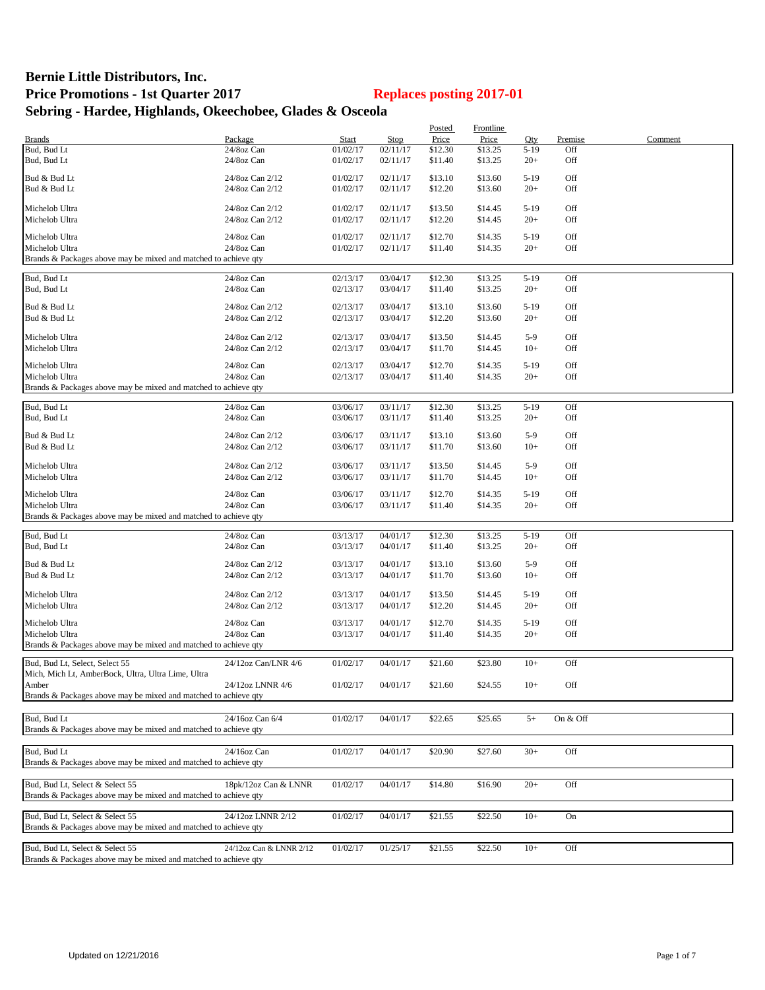## **Bernie Little Distributors, Inc. Price Promotions - 1st Quarter 2017 Replaces posting 2017-01 Sebring - Hardee, Highlands, Okeechobee, Glades & Osceola**

|                                                                 |                         |              |             | Posted  | Frontline |          |          |         |
|-----------------------------------------------------------------|-------------------------|--------------|-------------|---------|-----------|----------|----------|---------|
| <b>Brands</b>                                                   | Package                 | <b>Start</b> | <b>Stop</b> | Price   | Price     | Qty      | Premise  | Comment |
| Bud, Bud Lt                                                     | 24/8oz Can              | 01/02/17     | 02/11/17    | \$12.30 | \$13.25   | $5-19$   | Off      |         |
| Bud, Bud Lt                                                     | 24/8oz Can              | 01/02/17     | 02/11/17    | \$11.40 | \$13.25   | $20+$    | Off      |         |
| Bud & Bud Lt                                                    | 24/8oz Can 2/12         | 01/02/17     | 02/11/17    | \$13.10 | \$13.60   | $5-19$   | Off      |         |
| Bud & Bud Lt                                                    | 24/8oz Can 2/12         | 01/02/17     | 02/11/17    | \$12.20 | \$13.60   | $20+$    | Off      |         |
|                                                                 |                         |              |             |         |           |          |          |         |
| Michelob Ultra                                                  | 24/8oz Can 2/12         | 01/02/17     | 02/11/17    | \$13.50 | \$14.45   | $5-19$   | Off      |         |
| Michelob Ultra                                                  | 24/8oz Can 2/12         | 01/02/17     | 02/11/17    | \$12.20 | \$14.45   | $20+$    | Off      |         |
|                                                                 |                         |              |             |         |           |          |          |         |
| Michelob Ultra                                                  | 24/8oz Can              | 01/02/17     | 02/11/17    | \$12.70 | \$14.35   | $5-19$   | Off      |         |
| Michelob Ultra                                                  | 24/8oz Can              | 01/02/17     | 02/11/17    | \$11.40 | \$14.35   | $20+$    | Off      |         |
| Brands & Packages above may be mixed and matched to achieve qty |                         |              |             |         |           |          |          |         |
| Bud, Bud Lt                                                     | 24/8oz Can              | 02/13/17     | 03/04/17    | \$12.30 | \$13.25   | $5-19$   | Off      |         |
| Bud, Bud Lt                                                     | 24/8oz Can              | 02/13/17     | 03/04/17    | \$11.40 | \$13.25   | $20+$    | Off      |         |
|                                                                 |                         |              |             |         |           |          |          |         |
| Bud & Bud Lt                                                    | 24/8oz Can 2/12         | 02/13/17     | 03/04/17    | \$13.10 | \$13.60   | $5 - 19$ | Off      |         |
| Bud & Bud Lt                                                    | 24/8oz Can 2/12         | 02/13/17     | 03/04/17    | \$12.20 | \$13.60   | $20+$    | Off      |         |
|                                                                 |                         |              |             |         |           |          |          |         |
| Michelob Ultra                                                  | 24/8oz Can 2/12         | 02/13/17     | 03/04/17    | \$13.50 | \$14.45   | $5-9$    | Off      |         |
| Michelob Ultra                                                  | 24/8oz Can 2/12         | 02/13/17     | 03/04/17    | \$11.70 | \$14.45   | $10+$    | Off      |         |
| Michelob Ultra                                                  | 24/8oz Can              | 02/13/17     | 03/04/17    | \$12.70 | \$14.35   | $5-19$   | Off      |         |
| Michelob Ultra                                                  | 24/8oz Can              | 02/13/17     | 03/04/17    | \$11.40 | \$14.35   | $20+$    | Off      |         |
| Brands & Packages above may be mixed and matched to achieve qty |                         |              |             |         |           |          |          |         |
|                                                                 |                         |              |             |         |           |          |          |         |
| Bud, Bud Lt                                                     | 24/8oz Can              | 03/06/17     | 03/11/17    | \$12.30 | \$13.25   | $5-19$   | Off      |         |
| Bud, Bud Lt                                                     | 24/8oz Can              | 03/06/17     | 03/11/17    | \$11.40 | \$13.25   | $20+$    | Off      |         |
|                                                                 |                         |              |             |         |           |          |          |         |
| Bud & Bud Lt                                                    | 24/8oz Can 2/12         | 03/06/17     | 03/11/17    | \$13.10 | \$13.60   | $5-9$    | Off      |         |
| Bud & Bud Lt                                                    | 24/8oz Can 2/12         | 03/06/17     | 03/11/17    | \$11.70 | \$13.60   | $10+$    | Off      |         |
| Michelob Ultra                                                  | 24/8oz Can 2/12         | 03/06/17     | 03/11/17    | \$13.50 | \$14.45   | $5-9$    | Off      |         |
| Michelob Ultra                                                  | 24/8oz Can 2/12         | 03/06/17     | 03/11/17    | \$11.70 | \$14.45   | $10+$    | Off      |         |
|                                                                 |                         |              |             |         |           |          |          |         |
| Michelob Ultra                                                  | 24/8oz Can              | 03/06/17     | 03/11/17    | \$12.70 | \$14.35   | $5-19$   | Off      |         |
| Michelob Ultra                                                  | 24/8oz Can              | 03/06/17     | 03/11/17    | \$11.40 | \$14.35   | $20+$    | Off      |         |
| Brands & Packages above may be mixed and matched to achieve qty |                         |              |             |         |           |          |          |         |
|                                                                 |                         |              |             |         |           |          |          |         |
| Bud, Bud Lt                                                     | 24/8oz Can              | 03/13/17     | 04/01/17    | \$12.30 | \$13.25   | $5-19$   | Off      |         |
| Bud, Bud Lt                                                     | 24/8oz Can              | 03/13/17     | 04/01/17    | \$11.40 | \$13.25   | $20+$    | Off      |         |
| Bud & Bud Lt                                                    | 24/8oz Can 2/12         | 03/13/17     | 04/01/17    | \$13.10 | \$13.60   | $5-9$    | Off      |         |
| Bud & Bud Lt                                                    | 24/8oz Can 2/12         | 03/13/17     | 04/01/17    | \$11.70 | \$13.60   | $10+$    | Off      |         |
|                                                                 |                         |              |             |         |           |          |          |         |
| Michelob Ultra                                                  | 24/8oz Can 2/12         | 03/13/17     | 04/01/17    | \$13.50 | \$14.45   | $5-19$   | Off      |         |
| Michelob Ultra                                                  | 24/8oz Can 2/12         | 03/13/17     | 04/01/17    | \$12.20 | \$14.45   | $20+$    | Off      |         |
|                                                                 |                         |              |             |         |           |          |          |         |
| Michelob Ultra                                                  | 24/8oz Can              | 03/13/17     | 04/01/17    | \$12.70 | \$14.35   | $5-19$   | Off      |         |
| Michelob Ultra                                                  | 24/8oz Can              | 03/13/17     | 04/01/17    | \$11.40 | \$14.35   | $20+$    | Off      |         |
| Brands & Packages above may be mixed and matched to achieve qty |                         |              |             |         |           |          |          |         |
| Bud, Bud Lt, Select, Select 55                                  | 24/12oz Can/LNR 4/6     | 01/02/17     | 04/01/17    | \$21.60 | \$23.80   | $10+$    | Off      |         |
| Mich, Mich Lt, AmberBock, Ultra, Ultra Lime, Ultra              |                         |              |             |         |           |          |          |         |
| Ambei                                                           | 24/12oz LNNR 4/6        | 01/02/17     | 04/01/17    | \$21.60 | \$24.55   | $10+$    | Off      |         |
| Brands & Packages above may be mixed and matched to achieve qty |                         |              |             |         |           |          |          |         |
|                                                                 |                         |              |             |         |           |          |          |         |
| Bud, Bud Lt                                                     | 24/16oz Can 6/4         | 01/02/17     | 04/01/17    | \$22.65 | \$25.65   | $5+$     | On & Off |         |
| Brands & Packages above may be mixed and matched to achieve qty |                         |              |             |         |           |          |          |         |
|                                                                 |                         |              |             |         |           |          |          |         |
| Bud, Bud Lt                                                     | 24/16oz Can             | 01/02/17     | 04/01/17    | \$20.90 | \$27.60   | $30+$    | Off      |         |
| Brands & Packages above may be mixed and matched to achieve gty |                         |              |             |         |           |          |          |         |
|                                                                 |                         |              |             |         |           |          |          |         |
| Bud, Bud Lt, Select & Select 55                                 | 18pk/12oz Can & LNNR    | 01/02/17     | 04/01/17    | \$14.80 | \$16.90   | $20+$    | Off      |         |
| Brands & Packages above may be mixed and matched to achieve qty |                         |              |             |         |           |          |          |         |
|                                                                 |                         |              |             |         |           |          |          |         |
| Bud, Bud Lt, Select & Select 55                                 | 24/12oz LNNR 2/12       | 01/02/17     | 04/01/17    | \$21.55 | \$22.50   | $10+$    | On       |         |
| Brands & Packages above may be mixed and matched to achieve qty |                         |              |             |         |           |          |          |         |
|                                                                 |                         |              |             |         |           |          |          |         |
| Bud, Bud Lt, Select & Select 55                                 | 24/12oz Can & LNNR 2/12 | 01/02/17     | 01/25/17    | \$21.55 | \$22.50   | $10+$    | Off      |         |
| Brands & Packages above may be mixed and matched to achieve qty |                         |              |             |         |           |          |          |         |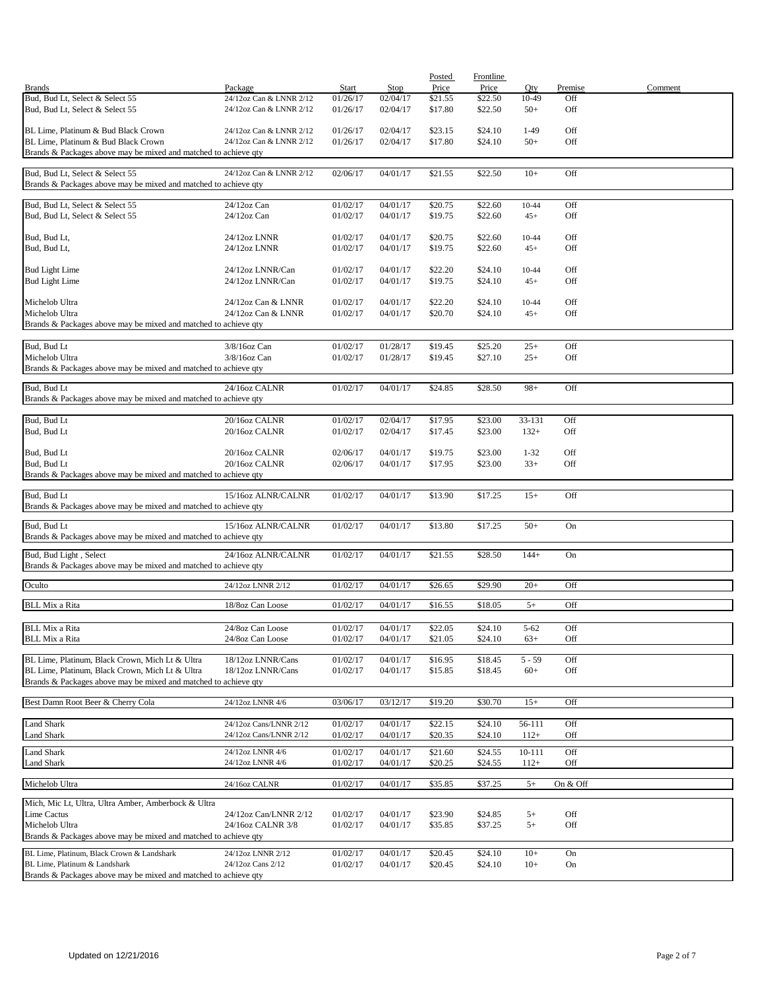|                                                                                                                    |                                                    |                      |                      | Posted             | <b>Frontline</b>   |                |            |         |
|--------------------------------------------------------------------------------------------------------------------|----------------------------------------------------|----------------------|----------------------|--------------------|--------------------|----------------|------------|---------|
| <b>Brands</b>                                                                                                      | Package                                            | <b>Start</b>         | Stop                 | Price              | Price              | Qty            | Premise    | Comment |
| Bud, Bud Lt, Select & Select 55<br>Bud, Bud Lt, Select & Select 55                                                 | 24/12oz Can & LNNR 2/12<br>24/12oz Can & LNNR 2/12 | 01/26/17<br>01/26/17 | 02/04/17<br>02/04/17 | \$21.55<br>\$17.80 | \$22.50<br>\$22.50 | 10-49<br>$50+$ | Off<br>Off |         |
| BL Lime, Platinum & Bud Black Crown                                                                                | 24/12oz Can & LNNR 2/12                            | 01/26/17             | 02/04/17             | \$23.15            | \$24.10            | 1-49           | Off        |         |
| BL Lime. Platinum & Bud Black Crown<br>Brands & Packages above may be mixed and matched to achieve qty             | 24/12oz Can & LNNR 2/12                            | 01/26/17             | 02/04/17             | \$17.80            | \$24.10            | $50+$          | Off        |         |
|                                                                                                                    |                                                    |                      |                      |                    |                    |                |            |         |
| Bud, Bud Lt, Select & Select 55<br>Brands & Packages above may be mixed and matched to achieve qty                 | 24/12oz Can & LNNR 2/12                            | 02/06/17             | 04/01/17             | \$21.55            | \$22.50            | $10+$          | Off        |         |
| Bud, Bud Lt, Select & Select 55                                                                                    | 24/12oz Can                                        | 01/02/17             | 04/01/17             | \$20.75            | \$22.60            | 10-44          | Off        |         |
| Bud, Bud Lt, Select & Select 55                                                                                    | $24/12$ oz Can                                     | 01/02/17             | 04/01/17             | \$19.75            | \$22.60            | $45+$          | Off        |         |
| Bud, Bud Lt,                                                                                                       | 24/12oz LNNR                                       | 01/02/17             | 04/01/17             | \$20.75            | \$22.60            | 10-44          | Off        |         |
| Bud, Bud Lt,                                                                                                       | 24/12oz LNNR                                       | 01/02/17             | 04/01/17             | \$19.75            | \$22.60            | $45+$          | Off        |         |
| <b>Bud Light Lime</b>                                                                                              | 24/12oz LNNR/Can                                   | 01/02/17             | 04/01/17             | \$22.20            | \$24.10            | 10-44          | Off        |         |
| <b>Bud Light Lime</b>                                                                                              | 24/12oz LNNR/Can                                   | 01/02/17             | 04/01/17             | \$19.75            | \$24.10            | $45+$          | Off        |         |
| Michelob Ultra<br>Michelob Ultra                                                                                   | 24/12oz Can & LNNR<br>24/12oz Can & LNNR           | 01/02/17<br>01/02/17 | 04/01/17<br>04/01/17 | \$22.20<br>\$20.70 | \$24.10<br>\$24.10 | 10-44<br>$45+$ | Off<br>Off |         |
| Brands & Packages above may be mixed and matched to achieve qty                                                    |                                                    |                      |                      |                    |                    |                |            |         |
| Bud, Bud Lt                                                                                                        | 3/8/16oz Can                                       | 01/02/17             | 01/28/17             | \$19.45            | \$25.20            | $25+$          | Off        |         |
| Michelob Ultra<br>Brands & Packages above may be mixed and matched to achieve qty                                  | 3/8/16oz Can                                       | 01/02/17             | 01/28/17             | \$19.45            | \$27.10            | $25+$          | Off        |         |
|                                                                                                                    |                                                    |                      |                      |                    |                    |                |            |         |
| Bud, Bud Lt<br>Brands & Packages above may be mixed and matched to achieve qty                                     | 24/16oz CALNR                                      | 01/02/17             | 04/01/17             | \$24.85            | \$28.50            | $98+$          | Off        |         |
| Bud, Bud Lt                                                                                                        | 20/16oz CALNR                                      | 01/02/17             | 02/04/17             | \$17.95            | \$23.00            | 33-131         | Off        |         |
| Bud, Bud Lt                                                                                                        | 20/16oz CALNR                                      | 01/02/17             | 02/04/17             | \$17.45            | \$23.00            | $132+$         | Off        |         |
| Bud, Bud Lt                                                                                                        | 20/16oz CALNR                                      | 02/06/17             | 04/01/17             | \$19.75            | \$23.00            | $1 - 32$       | Off        |         |
| Bud, Bud Lt<br>Brands & Packages above may be mixed and matched to achieve qty                                     | 20/16oz CALNR                                      | 02/06/17             | 04/01/17             | \$17.95            | \$23.00            | $33+$          | Off        |         |
|                                                                                                                    |                                                    |                      |                      |                    |                    |                |            |         |
| Bud, Bud Lt<br>Brands & Packages above may be mixed and matched to achieve qty                                     | 15/16oz ALNR/CALNR                                 | 01/02/17             | 04/01/17             | \$13.90            | \$17.25            | $15+$          | Off        |         |
| Bud, Bud Lt                                                                                                        | 15/16oz ALNR/CALNR                                 | 01/02/17             | 04/01/17             | \$13.80            | \$17.25            | $50+$          | On         |         |
| Brands & Packages above may be mixed and matched to achieve qty                                                    |                                                    |                      |                      |                    |                    |                |            |         |
| Bud, Bud Light, Select<br>Brands & Packages above may be mixed and matched to achieve qty                          | 24/16oz ALNR/CALNR                                 | 01/02/17             | 04/01/17             | \$21.55            | \$28.50            | $144+$         | On         |         |
| Oculto                                                                                                             | 24/12oz LNNR 2/12                                  | 01/02/17             | 04/01/17             | \$26.65            | \$29.90            | $20+$          | Off        |         |
|                                                                                                                    |                                                    |                      |                      |                    |                    |                |            |         |
| <b>BLL</b> Mix a Rita                                                                                              | 18/8oz Can Loose                                   | 01/02/17             | 04/01/17             | \$16.55            | \$18.05            | $5+$           | Off        |         |
| <b>BLL Mix a Rita</b>                                                                                              | 24/8oz Can Loose                                   | 01/02/17             | 04/01/17             | \$22.05            | \$24.10            | $5 - 62$       | Off        |         |
| <b>BLL Mix a Rita</b>                                                                                              | 24/8oz Can Loose                                   | 01/02/17             | 04/01/17             | \$21.05            | \$24.10            | $63+$          | Off        |         |
| BL Lime, Platinum, Black Crown, Mich Lt & Ultra                                                                    | 18/12oz LNNR/Cans                                  | 01/02/17             | 04/01/17             | \$16.95            | \$18.45            | $5 - 59$       | Off        |         |
| BL Lime, Platinum, Black Crown, Mich Lt & Ultra<br>Brands & Packages above may be mixed and matched to achieve qty | 18/12oz LNNR/Cans                                  | 01/02/17             | 04/01/17             | \$15.85            | \$18.45            | $60+$          | Off        |         |
|                                                                                                                    |                                                    |                      |                      |                    |                    |                |            |         |
| Best Damn Root Beer & Cherry Cola                                                                                  | 24/12oz LNNR 4/6                                   | 03/06/17             | 03/12/17             | \$19.20            | \$30.70            | $15+$          | Off        |         |
| <b>Land Shark</b>                                                                                                  | 24/12oz Cans/LNNR 2/12                             | 01/02/17             | 04/01/17             | \$22.15            | \$24.10            | 56-111         | Off        |         |
| Land Shark                                                                                                         | 24/12oz Cans/LNNR 2/12                             | 01/02/17             | 04/01/17             | \$20.35            | \$24.10            | $112+$         | Off        |         |
| Land Shark                                                                                                         | 24/12oz LNNR 4/6                                   | 01/02/17             | 04/01/17             | \$21.60            | \$24.55            | 10-111         | Off        |         |
| <b>Land Shark</b>                                                                                                  | 24/12oz LNNR 4/6                                   | 01/02/17             | 04/01/17             | \$20.25            | \$24.55            | $112+$         | Off        |         |
| Michelob Ultra                                                                                                     | 24/16oz CALNR                                      | 01/02/17             | 04/01/17             | \$35.85            | \$37.25            | $5+$           | On & Off   |         |
| Mich, Mic Lt, Ultra, Ultra Amber, Amberbock & Ultra                                                                |                                                    |                      |                      |                    |                    |                |            |         |
| Lime Cactus                                                                                                        | 24/12oz Can/LNNR 2/12                              | 01/02/17             | 04/01/17             | \$23.90            | \$24.85            | $5+$           | Off        |         |
| Michelob Ultra<br>Brands & Packages above may be mixed and matched to achieve qty                                  | 24/16oz CALNR 3/8                                  | 01/02/17             | 04/01/17             | \$35.85            | \$37.25            | $5+$           | Off        |         |
|                                                                                                                    |                                                    |                      |                      |                    |                    |                |            |         |
| BL Lime, Platinum, Black Crown & Landshark<br>BL Lime, Platinum & Landshark                                        | 24/12oz LNNR 2/12<br>24/12oz Cans 2/12             | 01/02/17<br>01/02/17 | 04/01/17<br>04/01/17 | \$20.45<br>\$20.45 | \$24.10<br>\$24.10 | $10+$<br>$10+$ | On<br>On   |         |
| Brands & Packages above may be mixed and matched to achieve qty                                                    |                                                    |                      |                      |                    |                    |                |            |         |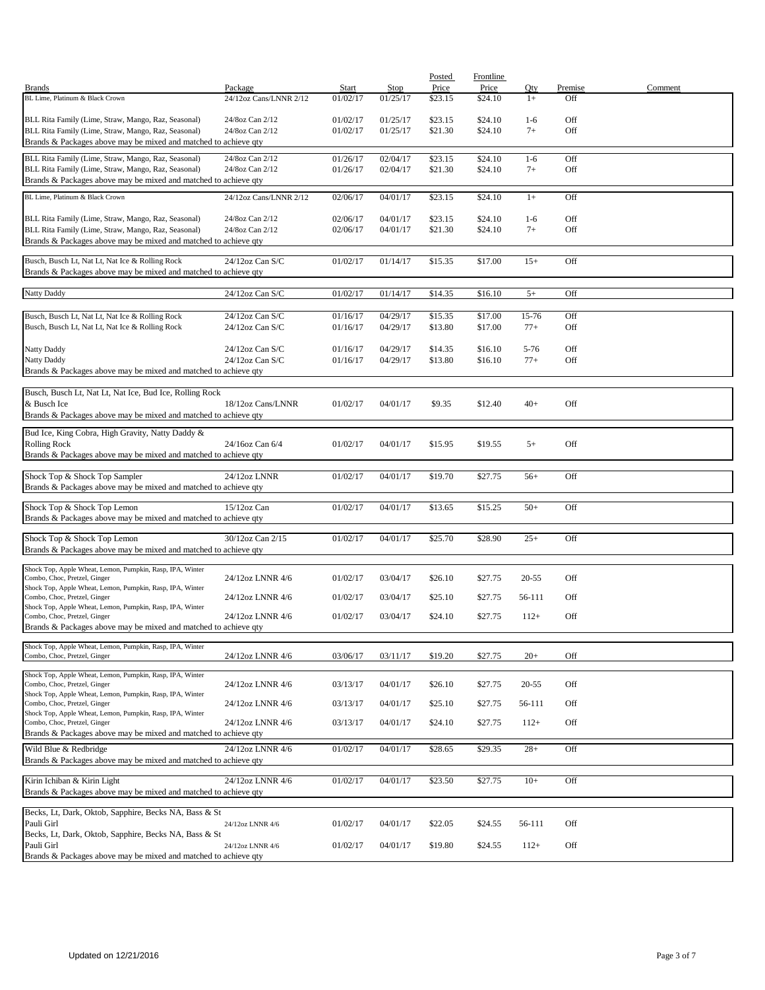|                                                                                                                    |                                       |                      |                      | Posted             | Frontline          |                   |            |         |
|--------------------------------------------------------------------------------------------------------------------|---------------------------------------|----------------------|----------------------|--------------------|--------------------|-------------------|------------|---------|
| <b>Brands</b>                                                                                                      | Package                               | Start                | Stop                 | Price              | Price              | Qty               | Premise    | Comment |
| BL Lime, Platinum & Black Crown                                                                                    | 24/12oz Cans/LNNR 2/12                | 01/02/17             | 01/25/17             | \$23.15            | \$24.10            | $1+$              | Off        |         |
| BLL Rita Family (Lime, Straw, Mango, Raz, Seasonal)                                                                | 24/8oz Can 2/12                       | 01/02/17             | 01/25/17             | \$23.15            | \$24.10            | $1-6$             | Off        |         |
| BLL Rita Family (Lime, Straw, Mango, Raz, Seasonal)                                                                | 24/8oz Can 2/12                       | 01/02/17             | 01/25/17             | \$21.30            | \$24.10            | $7+$              | Off        |         |
| Brands & Packages above may be mixed and matched to achieve qty                                                    |                                       |                      |                      |                    |                    |                   |            |         |
| BLL Rita Family (Lime, Straw, Mango, Raz, Seasonal)                                                                | 24/8oz Can 2/12                       | 01/26/17             | 02/04/17             | \$23.15            | \$24.10            | $1-6$             | Off        |         |
| BLL Rita Family (Lime, Straw, Mango, Raz, Seasonal)                                                                | 24/8oz Can 2/12                       | 01/26/17             | 02/04/17             | \$21.30            | \$24.10            | $7+$              | Off        |         |
| Brands & Packages above may be mixed and matched to achieve qty                                                    |                                       |                      |                      |                    |                    |                   |            |         |
| BL Lime, Platinum & Black Crown                                                                                    | 24/12oz Cans/LNNR 2/12                |                      |                      |                    |                    | $1+$              | Off        |         |
|                                                                                                                    |                                       | 02/06/17             | 04/01/17             | \$23.15            | \$24.10            |                   |            |         |
| BLL Rita Family (Lime, Straw, Mango, Raz, Seasonal)                                                                | 24/8oz Can 2/12                       | 02/06/17             | 04/01/17             | \$23.15            | \$24.10            | $1-6$             | Off        |         |
| BLL Rita Family (Lime, Straw, Mango, Raz, Seasonal)                                                                | 24/8oz Can 2/12                       | 02/06/17             | 04/01/17             | \$21.30            | \$24.10            | $7+$              | Off        |         |
| Brands & Packages above may be mixed and matched to achieve qty                                                    |                                       |                      |                      |                    |                    |                   |            |         |
|                                                                                                                    |                                       |                      |                      |                    |                    |                   |            |         |
| Busch, Busch Lt, Nat Lt, Nat Ice & Rolling Rock<br>Brands & Packages above may be mixed and matched to achieve qty | $24/12$ oz Can S/C                    | 01/02/17             | 01/14/17             | \$15.35            | \$17.00            | $15+$             | Off        |         |
|                                                                                                                    |                                       |                      |                      |                    |                    |                   |            |         |
| Natty Daddy                                                                                                        | 24/12oz Can S/C                       | 01/02/17             | 01/14/17             | \$14.35            | \$16.10            | $5+$              | Off        |         |
|                                                                                                                    |                                       |                      |                      |                    |                    |                   |            |         |
| Busch, Busch Lt, Nat Lt, Nat Ice & Rolling Rock                                                                    | 24/12oz Can S/C                       | 01/16/17             | 04/29/17             | \$15.35            | \$17.00            | 15-76             | Off        |         |
| Busch, Busch Lt, Nat Lt, Nat Ice & Rolling Rock                                                                    | $24/12$ oz Can S/C                    | 01/16/17             | 04/29/17             | \$13.80            | \$17.00            | $77+$             | Off        |         |
|                                                                                                                    |                                       |                      |                      |                    |                    |                   |            |         |
| Natty Daddy<br>Natty Daddy                                                                                         | $24/12$ oz Can S/C<br>24/12oz Can S/C | 01/16/17<br>01/16/17 | 04/29/17<br>04/29/17 | \$14.35<br>\$13.80 | \$16.10<br>\$16.10 | $5 - 76$<br>$77+$ | Off<br>Off |         |
| Brands & Packages above may be mixed and matched to achieve qty                                                    |                                       |                      |                      |                    |                    |                   |            |         |
|                                                                                                                    |                                       |                      |                      |                    |                    |                   |            |         |
| Busch, Busch Lt, Nat Lt, Nat Ice, Bud Ice, Rolling Rock                                                            |                                       |                      |                      |                    |                    |                   |            |         |
| & Busch Ice                                                                                                        | 18/12oz Cans/LNNR                     | 01/02/17             | 04/01/17             | \$9.35             | \$12.40            | $40+$             | Off        |         |
| Brands & Packages above may be mixed and matched to achieve qty                                                    |                                       |                      |                      |                    |                    |                   |            |         |
| Bud Ice, King Cobra, High Gravity, Natty Daddy &                                                                   |                                       |                      |                      |                    |                    |                   |            |         |
| <b>Rolling Rock</b>                                                                                                | 24/16oz Can 6/4                       | 01/02/17             | 04/01/17             | \$15.95            | \$19.55            | $5+$              | Off        |         |
| Brands & Packages above may be mixed and matched to achieve qty                                                    |                                       |                      |                      |                    |                    |                   |            |         |
|                                                                                                                    |                                       |                      |                      |                    |                    |                   |            |         |
| Shock Top & Shock Top Sampler                                                                                      | 24/12oz LNNR                          | 01/02/17             | 04/01/17             | \$19.70            | \$27.75            | $56+$             | Off        |         |
| Brands & Packages above may be mixed and matched to achieve qty                                                    |                                       |                      |                      |                    |                    |                   |            |         |
| Shock Top & Shock Top Lemon                                                                                        | $15/12$ oz Can                        | 01/02/17             | 04/01/17             | \$13.65            | \$15.25            | $50+$             | Off        |         |
| Brands & Packages above may be mixed and matched to achieve qty                                                    |                                       |                      |                      |                    |                    |                   |            |         |
|                                                                                                                    |                                       |                      |                      |                    |                    |                   |            |         |
| Shock Top & Shock Top Lemon                                                                                        | 30/12oz Can 2/15                      | 01/02/17             | 04/01/17             | \$25.70            | \$28.90            | $25+$             | Off        |         |
| Brands & Packages above may be mixed and matched to achieve qty                                                    |                                       |                      |                      |                    |                    |                   |            |         |
| Shock Top, Apple Wheat, Lemon, Pumpkin, Rasp, IPA, Winter                                                          |                                       |                      |                      |                    |                    |                   |            |         |
| Combo, Choc, Pretzel, Ginger                                                                                       | 24/12oz LNNR 4/6                      | 01/02/17             | 03/04/17             | \$26.10            | \$27.75            | $20 - 55$         | Off        |         |
| Shock Top, Apple Wheat, Lemon, Pumpkin, Rasp, IPA, Winter<br>Combo, Choc, Pretzel, Ginger                          | 24/12oz LNNR 4/6                      | 01/02/17             | 03/04/17             | \$25.10            | \$27.75            | 56-111            | Off        |         |
| Shock Top, Apple Wheat, Lemon, Pumpkin, Rasp, IPA, Winter                                                          |                                       |                      |                      |                    |                    |                   |            |         |
| Combo, Choc, Pretzel, Ginger                                                                                       | 24/12oz LNNR 4/6                      | 01/02/17             | 03/04/17             | \$24.10            | \$27.75            | $112+$            | Off        |         |
| Brands & Packages above may be mixed and matched to achieve qty                                                    |                                       |                      |                      |                    |                    |                   |            |         |
| Shock Top, Apple Wheat, Lemon, Pumpkin, Rasp, IPA, Winter                                                          |                                       |                      |                      |                    |                    |                   |            |         |
| Combo, Choc, Pretzel, Ginger                                                                                       | 24/12oz LNNR 4/6                      | 03/06/17             | 03/11/17             | \$19.20            | \$27.75            | $20+$             | Off        |         |
| Shock Top, Apple Wheat, Lemon, Pumpkin, Rasp, IPA, Winter                                                          |                                       |                      |                      |                    |                    |                   |            |         |
| Combo, Choc, Pretzel, Ginger                                                                                       | 24/12oz LNNR 4/6                      | 03/13/17             | 04/01/17             | \$26.10            | \$27.75            | $20 - 55$         | Off        |         |
| Shock Top, Apple Wheat, Lemon, Pumpkin, Rasp, IPA, Winter                                                          |                                       |                      |                      |                    |                    |                   |            |         |
| Combo, Choc, Pretzel, Ginger<br>Shock Top, Apple Wheat, Lemon, Pumpkin, Rasp, IPA, Winter                          | 24/12oz LNNR 4/6                      | 03/13/17             | 04/01/17             | \$25.10            | \$27.75            | 56-111            | Off        |         |
| Combo, Choc, Pretzel, Ginger                                                                                       | 24/12oz LNNR 4/6                      | 03/13/17             | 04/01/17             | \$24.10            | \$27.75            | $112+$            | Off        |         |
| Brands & Packages above may be mixed and matched to achieve qty                                                    |                                       |                      |                      |                    |                    |                   |            |         |
| Wild Blue & Redbridge                                                                                              | 24/12oz LNNR 4/6                      | 01/02/17             | 04/01/17             | \$28.65            | \$29.35            | $28+$             | Off        |         |
| Brands & Packages above may be mixed and matched to achieve qty                                                    |                                       |                      |                      |                    |                    |                   |            |         |
|                                                                                                                    |                                       |                      |                      |                    |                    |                   |            |         |
| Kirin Ichiban & Kirin Light                                                                                        | 24/12oz LNNR 4/6                      | 01/02/17             | 04/01/17             | \$23.50            | \$27.75            | $10+$             | Off        |         |
| Brands & Packages above may be mixed and matched to achieve qty                                                    |                                       |                      |                      |                    |                    |                   |            |         |
| Becks, Lt, Dark, Oktob, Sapphire, Becks NA, Bass & St                                                              |                                       |                      |                      |                    |                    |                   |            |         |
| Pauli Girl                                                                                                         | 24/12oz LNNR 4/6                      | 01/02/17             | 04/01/17             | \$22.05            | \$24.55            | 56-111            | Off        |         |
| Becks, Lt, Dark, Oktob, Sapphire, Becks NA, Bass & St                                                              |                                       |                      |                      |                    |                    |                   |            |         |
| Pauli Girl                                                                                                         | 24/12oz LNNR 4/6                      | 01/02/17             | 04/01/17             | \$19.80            | \$24.55            | $112+$            | Off        |         |
| Brands & Packages above may be mixed and matched to achieve qty                                                    |                                       |                      |                      |                    |                    |                   |            |         |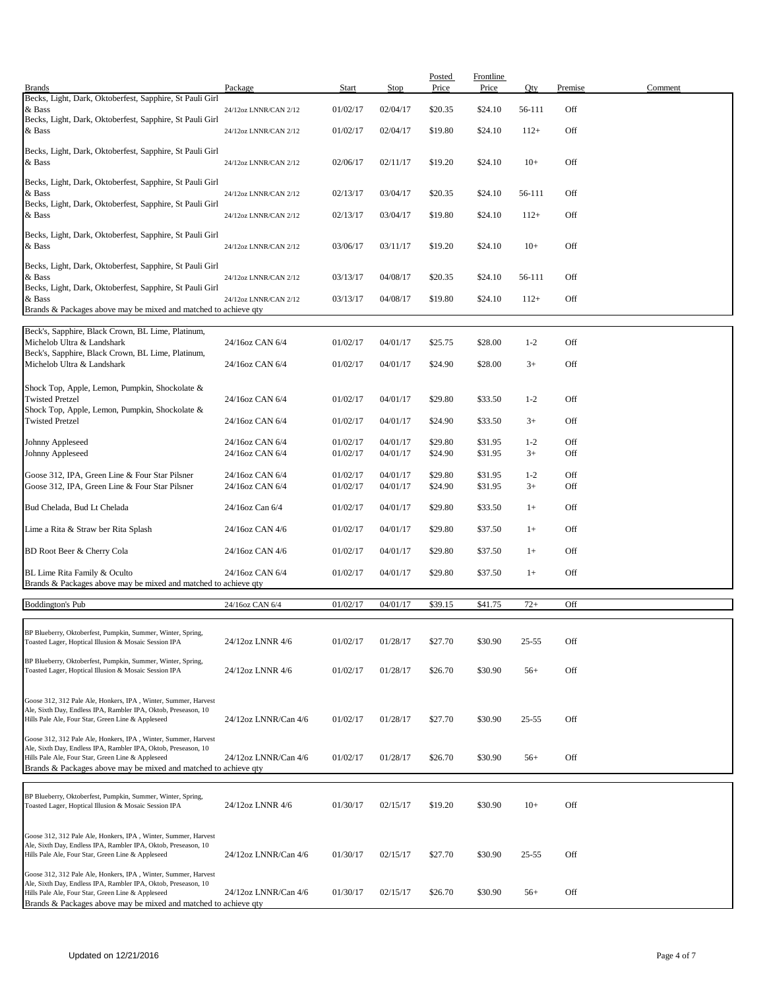| <b>Brands</b>                                                                                                                    | Package                            | Start                | Stop                 | Posted<br>Price    | Frontline<br>Price | Oty             | Premise    | Comment |
|----------------------------------------------------------------------------------------------------------------------------------|------------------------------------|----------------------|----------------------|--------------------|--------------------|-----------------|------------|---------|
| Becks, Light, Dark, Oktoberfest, Sapphire, St Pauli Girl                                                                         |                                    |                      |                      |                    |                    |                 |            |         |
| & Bass<br>Becks, Light, Dark, Oktoberfest, Sapphire, St Pauli Girl                                                               | 24/12oz LNNR/CAN 2/12              | 01/02/17             | 02/04/17             | \$20.35            | \$24.10            | 56-111          | Off        |         |
| & Bass                                                                                                                           | 24/12oz LNNR/CAN 2/12              | 01/02/17             | 02/04/17             | \$19.80            | \$24.10            | $112+$          | Off        |         |
| Becks, Light, Dark, Oktoberfest, Sapphire, St Pauli Girl                                                                         |                                    |                      |                      |                    |                    |                 |            |         |
| & Bass                                                                                                                           | 24/12oz LNNR/CAN 2/12              | 02/06/17             | 02/11/17             | \$19.20            | \$24.10            | $10+$           | Off        |         |
| Becks, Light, Dark, Oktoberfest, Sapphire, St Pauli Girl                                                                         |                                    |                      |                      |                    |                    |                 |            |         |
| & Bass                                                                                                                           | 24/12oz LNNR/CAN 2/12              | 02/13/17             | 03/04/17             | \$20.35            | \$24.10            | 56-111          | Off        |         |
| Becks, Light, Dark, Oktoberfest, Sapphire, St Pauli Girl<br>& Bass                                                               |                                    |                      |                      | \$19.80            |                    |                 | Off        |         |
|                                                                                                                                  | 24/12oz LNNR/CAN 2/12              | 02/13/17             | 03/04/17             |                    | \$24.10            | $112+$          |            |         |
| Becks, Light, Dark, Oktoberfest, Sapphire, St Pauli Girl<br>& Bass                                                               | 24/12oz LNNR/CAN 2/12              | 03/06/17             | 03/11/17             | \$19.20            | \$24.10            | $10+$           | Off        |         |
|                                                                                                                                  |                                    |                      |                      |                    |                    |                 |            |         |
| Becks, Light, Dark, Oktoberfest, Sapphire, St Pauli Girl<br>& Bass                                                               | 24/12oz LNNR/CAN 2/12              | 03/13/17             | 04/08/17             | \$20.35            | \$24.10            | 56-111          | Off        |         |
| Becks, Light, Dark, Oktoberfest, Sapphire, St Pauli Girl                                                                         |                                    |                      |                      |                    |                    |                 |            |         |
| & Bass<br>Brands & Packages above may be mixed and matched to achieve qty                                                        | 24/12oz LNNR/CAN 2/12              | 03/13/17             | 04/08/17             | \$19.80            | \$24.10            | $112+$          | Off        |         |
|                                                                                                                                  |                                    |                      |                      |                    |                    |                 |            |         |
| Beck's, Sapphire, Black Crown, BL Lime, Platinum,<br>Michelob Ultra & Landshark                                                  | 24/16oz CAN 6/4                    | 01/02/17             | 04/01/17             | \$25.75            | \$28.00            | $1 - 2$         | Off        |         |
| Beck's, Sapphire, Black Crown, BL Lime, Platinum,                                                                                |                                    |                      |                      |                    |                    |                 |            |         |
| Michelob Ultra & Landshark                                                                                                       | 24/16oz CAN 6/4                    | 01/02/17             | 04/01/17             | \$24.90            | \$28.00            | $3+$            | Off        |         |
| Shock Top, Apple, Lemon, Pumpkin, Shockolate &                                                                                   |                                    |                      |                      |                    |                    |                 |            |         |
| <b>Twisted Pretzel</b>                                                                                                           | 24/16oz CAN 6/4                    | 01/02/17             | 04/01/17             | \$29.80            | \$33.50            | $1 - 2$         | Off        |         |
| Shock Top, Apple, Lemon, Pumpkin, Shockolate &<br><b>Twisted Pretzel</b>                                                         | 24/16oz CAN 6/4                    | 01/02/17             | 04/01/17             | \$24.90            | \$33.50            | $3+$            | Off        |         |
|                                                                                                                                  |                                    |                      |                      |                    |                    |                 |            |         |
| Johnny Appleseed<br>Johnny Appleseed                                                                                             | 24/16oz CAN 6/4<br>24/16oz CAN 6/4 | 01/02/17<br>01/02/17 | 04/01/17<br>04/01/17 | \$29.80<br>\$24.90 | \$31.95<br>\$31.95 | $1 - 2$<br>$3+$ | Off<br>Off |         |
|                                                                                                                                  |                                    |                      |                      |                    |                    |                 |            |         |
| Goose 312, IPA, Green Line & Four Star Pilsner<br>Goose 312, IPA, Green Line & Four Star Pilsner                                 | 24/16oz CAN 6/4<br>24/16oz CAN 6/4 | 01/02/17<br>01/02/17 | 04/01/17<br>04/01/17 | \$29.80<br>\$24.90 | \$31.95<br>\$31.95 | $1 - 2$<br>$3+$ | Off<br>Off |         |
|                                                                                                                                  |                                    |                      |                      |                    |                    |                 |            |         |
| Bud Chelada, Bud Lt Chelada                                                                                                      | 24/16oz Can 6/4                    | 01/02/17             | 04/01/17             | \$29.80            | \$33.50            | $1+$            | Off        |         |
| Lime a Rita & Straw ber Rita Splash                                                                                              | 24/16oz CAN 4/6                    | 01/02/17             | 04/01/17             | \$29.80            | \$37.50            | $1+$            | Off        |         |
| BD Root Beer & Cherry Cola                                                                                                       | 24/16oz CAN 4/6                    | 01/02/17             | 04/01/17             | \$29.80            | \$37.50            | $1+$            | Off        |         |
|                                                                                                                                  |                                    |                      |                      |                    |                    |                 |            |         |
| BL Lime Rita Family & Oculto<br>Brands & Packages above may be mixed and matched to achieve qty                                  | 24/16oz CAN 6/4                    | 01/02/17             | 04/01/17             | \$29.80            | \$37.50            | $1+$            | Off        |         |
|                                                                                                                                  |                                    |                      |                      |                    |                    |                 |            |         |
| Boddington's Pub                                                                                                                 | 24/16oz CAN 6/4                    | 01/02/17             | 04/01/17             | \$39.15            | \$41.75            | $72+$           | Off        |         |
| BP Blueberry, Oktoberfest, Pumpkin, Summer, Winter, Spring,                                                                      |                                    |                      |                      |                    |                    |                 |            |         |
| Toasted Lager, Hoptical Illusion & Mosaic Session IPA                                                                            | 24/12oz LNNR 4/6                   | 01/02/17             | 01/28/17             | \$27.70            | \$30.90            | 25-55           | Off        |         |
| BP Blueberry, Oktoberfest, Pumpkin, Summer, Winter, Spring,                                                                      |                                    |                      |                      |                    |                    |                 |            |         |
| Toasted Lager, Hoptical Illusion & Mosaic Session IPA                                                                            | 24/12oz LNNR 4/6                   | 01/02/17             | 01/28/17             | \$26.70            | \$30.90            | $56+$           | Off        |         |
| Goose 312, 312 Pale Ale, Honkers, IPA, Winter, Summer, Harvest                                                                   |                                    |                      |                      |                    |                    |                 |            |         |
| Ale, Sixth Day, Endless IPA, Rambler IPA, Oktob, Preseason, 10                                                                   |                                    |                      |                      |                    |                    |                 |            |         |
| Hills Pale Ale, Four Star, Green Line & Appleseed                                                                                | 24/12oz LNNR/Can 4/6               | 01/02/17             | 01/28/17             | \$27.70            | \$30.90            | $25 - 55$       | Off        |         |
| Goose 312, 312 Pale Ale, Honkers, IPA, Winter, Summer, Harvest<br>Ale, Sixth Day, Endless IPA, Rambler IPA, Oktob, Preseason, 10 |                                    |                      |                      |                    |                    |                 |            |         |
| Hills Pale Ale, Four Star, Green Line & Appleseed                                                                                | 24/12oz LNNR/Can 4/6               | 01/02/17             | 01/28/17             | \$26.70            | \$30.90            | $56+$           | Off        |         |
| Brands & Packages above may be mixed and matched to achieve qty                                                                  |                                    |                      |                      |                    |                    |                 |            |         |
| BP Blueberry, Oktoberfest, Pumpkin, Summer, Winter, Spring,                                                                      |                                    |                      |                      |                    |                    |                 |            |         |
| Toasted Lager, Hoptical Illusion & Mosaic Session IPA                                                                            | 24/12oz LNNR 4/6                   | 01/30/17             | 02/15/17             | \$19.20            | \$30.90            | $10+$           | Off        |         |
|                                                                                                                                  |                                    |                      |                      |                    |                    |                 |            |         |
| Goose 312, 312 Pale Ale, Honkers, IPA, Winter, Summer, Harvest<br>Ale, Sixth Day, Endless IPA, Rambler IPA, Oktob, Preseason, 10 |                                    |                      |                      |                    |                    |                 |            |         |
| Hills Pale Ale, Four Star, Green Line & Appleseed                                                                                | 24/12oz LNNR/Can 4/6               | 01/30/17             | 02/15/17             | \$27.70            | \$30.90            | $25 - 55$       | Off        |         |
| Goose 312, 312 Pale Ale, Honkers, IPA, Winter, Summer, Harvest                                                                   |                                    |                      |                      |                    |                    |                 |            |         |
| Ale, Sixth Day, Endless IPA, Rambler IPA, Oktob, Preseason, 10<br>Hills Pale Ale, Four Star, Green Line & Appleseed              | 24/12oz LNNR/Can 4/6               | 01/30/17             | 02/15/17             | \$26.70            | \$30.90            | $56+$           | Off        |         |
| Brands & Packages above may be mixed and matched to achieve qty                                                                  |                                    |                      |                      |                    |                    |                 |            |         |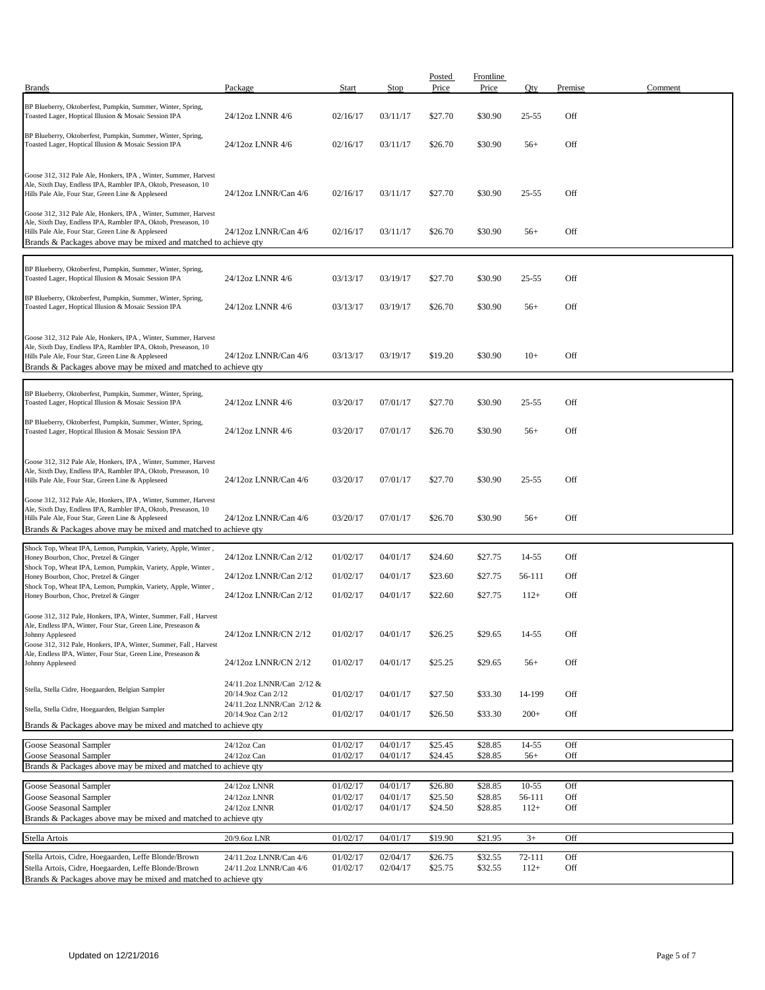| <b>Brands</b>                                                                                                                                                                                                                                            | Package                                         | Start                | Stop                 | Posted<br>Price    | Frontline<br>Price | Qty              | Premise    | Comment |
|----------------------------------------------------------------------------------------------------------------------------------------------------------------------------------------------------------------------------------------------------------|-------------------------------------------------|----------------------|----------------------|--------------------|--------------------|------------------|------------|---------|
|                                                                                                                                                                                                                                                          |                                                 |                      |                      |                    |                    |                  |            |         |
| BP Blueberry, Oktoberfest, Pumpkin, Summer, Winter, Spring,<br>Toasted Lager, Hoptical Illusion & Mosaic Session IPA                                                                                                                                     | 24/12oz LNNR 4/6                                | 02/16/17             | 03/11/17             | \$27.70            | \$30.90            | $25 - 55$        | Off        |         |
| BP Blueberry, Oktoberfest, Pumpkin, Summer, Winter, Spring,<br>Toasted Lager, Hoptical Illusion & Mosaic Session IPA                                                                                                                                     | 24/12oz LNNR 4/6                                | 02/16/17             | 03/11/17             | \$26.70            | \$30.90            | $56+$            | Off        |         |
| Goose 312, 312 Pale Ale, Honkers, IPA, Winter, Summer, Harvest<br>Ale, Sixth Day, Endless IPA, Rambler IPA, Oktob, Preseason, 10<br>Hills Pale Ale, Four Star, Green Line & Appleseed                                                                    | 24/12oz LNNR/Can 4/6                            | 02/16/17             | 03/11/17             | \$27.70            | \$30.90            | $25 - 55$        | Off        |         |
| Goose 312, 312 Pale Ale, Honkers, IPA, Winter, Summer, Harvest<br>Ale, Sixth Day, Endless IPA, Rambler IPA, Oktob, Preseason, 10<br>Hills Pale Ale, Four Star, Green Line & Appleseed<br>Brands & Packages above may be mixed and matched to achieve qty | 24/12oz LNNR/Can 4/6                            | 02/16/17             | 03/11/17             | \$26.70            | \$30.90            | $56+$            | Off        |         |
| BP Blueberry, Oktoberfest, Pumpkin, Summer, Winter, Spring,<br>Toasted Lager, Hoptical Illusion & Mosaic Session IPA                                                                                                                                     | 24/12oz LNNR 4/6                                | 03/13/17             | 03/19/17             | \$27.70            | \$30.90            | $25 - 55$        | Off        |         |
| BP Blueberry, Oktoberfest, Pumpkin, Summer, Winter, Spring,<br>Toasted Lager, Hoptical Illusion & Mosaic Session IPA                                                                                                                                     | 24/12oz LNNR 4/6                                | 03/13/17             | 03/19/17             | \$26.70            | \$30.90            | $56+$            | Off        |         |
| Goose 312, 312 Pale Ale, Honkers, IPA, Winter, Summer, Harvest<br>Ale, Sixth Day, Endless IPA, Rambler IPA, Oktob, Preseason, 10<br>Hills Pale Ale, Four Star, Green Line & Appleseed<br>Brands & Packages above may be mixed and matched to achieve qty | 24/12oz LNNR/Can 4/6                            | 03/13/17             | 03/19/17             | \$19.20            | \$30.90            | $10+$            | Off        |         |
| BP Blueberry, Oktoberfest, Pumpkin, Summer, Winter, Spring,<br>Toasted Lager, Hoptical Illusion & Mosaic Session IPA                                                                                                                                     | 24/12oz LNNR 4/6                                | 03/20/17             | 07/01/17             | \$27.70            | \$30.90            | $25 - 55$        | Off        |         |
| BP Blueberry, Oktoberfest, Pumpkin, Summer, Winter, Spring,<br>Toasted Lager, Hoptical Illusion & Mosaic Session IPA                                                                                                                                     | 24/12oz LNNR 4/6                                | 03/20/17             | 07/01/17             | \$26.70            | \$30.90            | $56+$            | Off        |         |
| Goose 312, 312 Pale Ale, Honkers, IPA, Winter, Summer, Harvest<br>Ale, Sixth Day, Endless IPA, Rambler IPA, Oktob, Preseason, 10<br>Hills Pale Ale, Four Star, Green Line & Appleseed                                                                    | 24/12oz LNNR/Can 4/6                            | 03/20/17             | 07/01/17             | \$27.70            | \$30.90            | $25 - 55$        | Off        |         |
| Goose 312, 312 Pale Ale, Honkers, IPA, Winter, Summer, Harvest<br>Ale, Sixth Day, Endless IPA, Rambler IPA, Oktob, Preseason, 10<br>Hills Pale Ale, Four Star, Green Line & Appleseed<br>Brands & Packages above may be mixed and matched to achieve qty | 24/12oz LNNR/Can 4/6                            | 03/20/17             | 07/01/17             | \$26.70            | \$30.90            | $56+$            | Off        |         |
| Shock Top, Wheat IPA, Lemon, Pumpkin, Variety, Apple, Winter,                                                                                                                                                                                            |                                                 |                      |                      |                    |                    |                  |            |         |
| Honey Bourbon, Choc, Pretzel & Ginger<br>Shock Top, Wheat IPA, Lemon, Pumpkin, Variety, Apple, Winter,                                                                                                                                                   | 24/12oz LNNR/Can 2/12                           | 01/02/17             | 04/01/17             | \$24.60            | \$27.75            | 14-55            | Off        |         |
| Honey Bourbon, Choc, Pretzel & Ginger                                                                                                                                                                                                                    | 24/12oz LNNR/Can 2/12                           | 01/02/17             | 04/01/17             | \$23.60            | \$27.75            | 56-111           | Off        |         |
| Shock Top, Wheat IPA, Lemon, Pumpkin, Variety, Apple, Winter,<br>Honey Bourbon, Choc, Pretzel & Ginger                                                                                                                                                   | 24/12oz LNNR/Can 2/12                           | 01/02/17             | 04/01/17             | \$22.60            | \$27.75            | $112+$           | Off        |         |
| Goose 312, 312 Pale, Honkers, IPA, Winter, Summer, Fall, Harvest<br>Ale, Endless IPA, Winter, Four Star, Green Line, Preseason &<br>Johnny Appleseed<br>Goose 312, 312 Pale, Honkers, IPA, Winter, Summer, Fall, Harvest                                 | 24/12oz LNNR/CN 2/12                            | 01/02/17             | 04/01/17             | \$26.25            | \$29.65            | 14-55            | Off        |         |
| Ale, Endless IPA, Winter, Four Star, Green Line, Preseason &<br>Johnny Appleseed                                                                                                                                                                         | 24/12oz LNNR/CN 2/12                            | 01/02/17             | 04/01/17             | \$25.25            | \$29.65            | $56+$            | Off        |         |
| Stella, Stella Cidre, Hoegaarden, Belgian Sampler                                                                                                                                                                                                        | 24/11.2oz LNNR/Can 2/12 &<br>20/14.9oz Can 2/12 | 01/02/17             | 04/01/17             | \$27.50            | \$33.30            | 14-199           | Off        |         |
| Stella, Stella Cidre, Hoegaarden, Belgian Sampler                                                                                                                                                                                                        | 24/11.2oz LNNR/Can 2/12 &<br>20/14.9oz Can 2/12 | 01/02/17             | 04/01/17             | \$26.50            | \$33.30            | $200+$           | Off        |         |
| Brands & Packages above may be mixed and matched to achieve qty                                                                                                                                                                                          |                                                 |                      |                      |                    |                    |                  |            |         |
| Goose Seasonal Sampler                                                                                                                                                                                                                                   | 24/12oz Can                                     | 01/02/17             | 04/01/17             | \$25.45            | \$28.85            | $14 - 55$        | Off        |         |
| Goose Seasonal Sampler                                                                                                                                                                                                                                   | 24/12oz Can                                     | 01/02/17             | 04/01/17             | \$24.45            | \$28.85            | $56+$            | Off        |         |
| Brands & Packages above may be mixed and matched to achieve qty                                                                                                                                                                                          |                                                 |                      |                      |                    |                    |                  |            |         |
| Goose Seasonal Sampler                                                                                                                                                                                                                                   | 24/12oz LNNR                                    | 01/02/17             | 04/01/17             | \$26.80            | \$28.85            | 10-55            | Off        |         |
| Goose Seasonal Sampler<br>Goose Seasonal Sampler                                                                                                                                                                                                         | 24/12oz LNNR<br>24/12oz LNNR                    | 01/02/17<br>01/02/17 | 04/01/17<br>04/01/17 | \$25.50<br>\$24.50 | \$28.85<br>\$28.85 | 56-111<br>$112+$ | Off<br>Off |         |
| Brands & Packages above may be mixed and matched to achieve qty                                                                                                                                                                                          |                                                 |                      |                      |                    |                    |                  |            |         |
| Stella Artois                                                                                                                                                                                                                                            | 20/9.6oz LNR                                    | 01/02/17             | 04/01/17             | \$19.90            | \$21.95            | $3+$             | Off        |         |
| Stella Artois, Cidre, Hoegaarden, Leffe Blonde/Brown                                                                                                                                                                                                     | 24/11.2oz LNNR/Can 4/6                          | 01/02/17             | 02/04/17             | \$26.75            | \$32.55            | 72-111           | Off        |         |
| Stella Artois, Cidre, Hoegaarden, Leffe Blonde/Brown                                                                                                                                                                                                     | 24/11.2oz LNNR/Can 4/6                          | 01/02/17             | 02/04/17             | \$25.75            | \$32.55            | $112+$           | Off        |         |
| Brands & Packages above may be mixed and matched to achieve qty                                                                                                                                                                                          |                                                 |                      |                      |                    |                    |                  |            |         |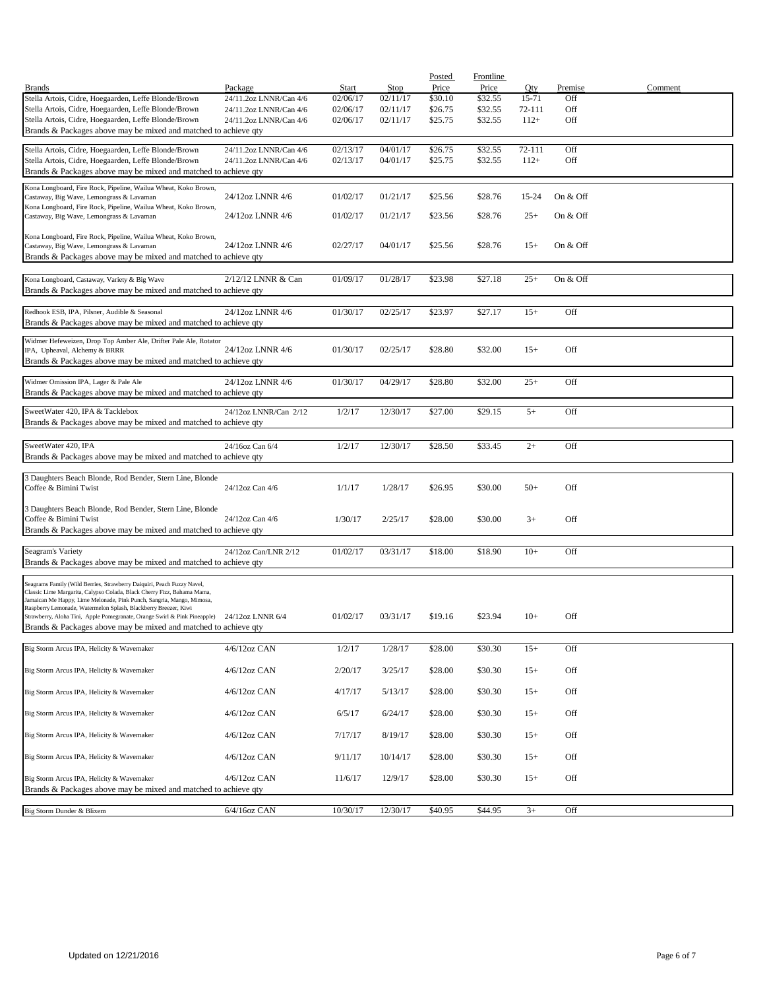|                                                                                                                                          | Package                | <b>Start</b> | Stop     | Posted<br>Price | Frontline<br>Price | Qty    | Premise  | Comment |
|------------------------------------------------------------------------------------------------------------------------------------------|------------------------|--------------|----------|-----------------|--------------------|--------|----------|---------|
| <b>Brands</b><br>Stella Artois, Cidre, Hoegaarden, Leffe Blonde/Brown                                                                    | 24/11.2oz LNNR/Can 4/6 | 02/06/17     | 02/11/17 | \$30.10         | \$32.55            | 15-71  | Off      |         |
| Stella Artois, Cidre, Hoegaarden, Leffe Blonde/Brown                                                                                     | 24/11.2oz LNNR/Can 4/6 | 02/06/17     | 02/11/17 | \$26.75         | \$32.55            | 72-111 | Off      |         |
| Stella Artois, Cidre, Hoegaarden, Leffe Blonde/Brown                                                                                     | 24/11.2oz LNNR/Can 4/6 | 02/06/17     | 02/11/17 | \$25.75         | \$32.55            | $112+$ | Off      |         |
| Brands & Packages above may be mixed and matched to achieve qty                                                                          |                        |              |          |                 |                    |        |          |         |
| Stella Artois, Cidre, Hoegaarden, Leffe Blonde/Brown                                                                                     | 24/11.2oz LNNR/Can 4/6 | 02/13/17     | 04/01/17 | \$26.75         | \$32.55            | 72-111 | Off      |         |
| Stella Artois, Cidre, Hoegaarden, Leffe Blonde/Brown                                                                                     | 24/11.2oz LNNR/Can 4/6 | 02/13/17     | 04/01/17 | \$25.75         | \$32.55            | $112+$ | Off      |         |
| Brands & Packages above may be mixed and matched to achieve qty                                                                          |                        |              |          |                 |                    |        |          |         |
| Kona Longboard, Fire Rock, Pipeline, Wailua Wheat, Koko Brown,<br>Castaway, Big Wave, Lemongrass & Lavaman                               | 24/12oz LNNR 4/6       | 01/02/17     | 01/21/17 | \$25.56         | \$28.76            | 15-24  | On & Off |         |
| Kona Longboard, Fire Rock, Pipeline, Wailua Wheat, Koko Brown,                                                                           |                        |              |          |                 |                    |        |          |         |
| Castaway, Big Wave, Lemongrass & Lavaman                                                                                                 | 24/12oz LNNR 4/6       | 01/02/17     | 01/21/17 | \$23.56         | \$28.76            | $25+$  | On & Off |         |
| Kona Longboard, Fire Rock, Pipeline, Wailua Wheat, Koko Brown,                                                                           |                        |              |          |                 |                    |        |          |         |
| Castaway, Big Wave, Lemongrass & Lavaman                                                                                                 | 24/12oz LNNR 4/6       | 02/27/17     | 04/01/17 | \$25.56         | \$28.76            | $15+$  | On & Off |         |
| Brands & Packages above may be mixed and matched to achieve qty                                                                          |                        |              |          |                 |                    |        |          |         |
| Kona Longboard, Castaway, Variety & Big Wave                                                                                             | 2/12/12 LNNR & Can     | 01/09/17     | 01/28/17 | \$23.98         | \$27.18            | $25+$  | On & Off |         |
| Brands & Packages above may be mixed and matched to achieve qty                                                                          |                        |              |          |                 |                    |        |          |         |
|                                                                                                                                          |                        |              |          |                 |                    |        |          |         |
| Redhook ESB, IPA, Pilsner, Audible & Seasonal                                                                                            | 24/12oz LNNR 4/6       | 01/30/17     | 02/25/17 | \$23.97         | \$27.17            | $15+$  | Off      |         |
| Brands & Packages above may be mixed and matched to achieve qty                                                                          |                        |              |          |                 |                    |        |          |         |
| Widmer Hefeweizen, Drop Top Amber Ale, Drifter Pale Ale, Rotator                                                                         |                        |              |          |                 |                    |        |          |         |
| IPA, Upheaval, Alchemy & BRRR<br>Brands & Packages above may be mixed and matched to achieve qty                                         | 24/12oz LNNR 4/6       | 01/30/17     | 02/25/17 | \$28.80         | \$32.00            | $15+$  | Off      |         |
|                                                                                                                                          |                        |              |          |                 |                    |        |          |         |
| Widmer Omission IPA, Lager & Pale Ale                                                                                                    | 24/12oz LNNR 4/6       | 01/30/17     | 04/29/17 | \$28.80         | \$32.00            | $25+$  | Off      |         |
| Brands & Packages above may be mixed and matched to achieve qty                                                                          |                        |              |          |                 |                    |        |          |         |
| SweetWater 420, IPA & Tacklebox                                                                                                          | 24/12oz LNNR/Can 2/12  | 1/2/17       | 12/30/17 | \$27.00         | \$29.15            | $5+$   | Off      |         |
| Brands & Packages above may be mixed and matched to achieve qty                                                                          |                        |              |          |                 |                    |        |          |         |
|                                                                                                                                          |                        |              |          |                 |                    |        |          |         |
| SweetWater 420, IPA<br>Brands & Packages above may be mixed and matched to achieve qty                                                   | 24/16oz Can 6/4        | 1/2/17       | 12/30/17 | \$28.50         | \$33.45            | $2+$   | Off      |         |
|                                                                                                                                          |                        |              |          |                 |                    |        |          |         |
| 3 Daughters Beach Blonde, Rod Bender, Stern Line, Blonde                                                                                 |                        |              |          |                 |                    |        |          |         |
| Coffee & Bimini Twist                                                                                                                    | 24/12oz Can 4/6        | 1/1/17       | 1/28/17  | \$26.95         | \$30.00            | $50+$  | Off      |         |
| 3 Daughters Beach Blonde, Rod Bender, Stern Line, Blonde                                                                                 |                        |              |          |                 |                    |        |          |         |
| Coffee & Bimini Twist                                                                                                                    | 24/12oz Can 4/6        | 1/30/17      | 2/25/17  | \$28.00         | \$30.00            | $3+$   | Off      |         |
| Brands & Packages above may be mixed and matched to achieve qty                                                                          |                        |              |          |                 |                    |        |          |         |
| Seagram's Variety                                                                                                                        | 24/12oz Can/LNR 2/12   | 01/02/17     | 03/31/17 | \$18.00         | \$18.90            | $10+$  | Off      |         |
| Brands & Packages above may be mixed and matched to achieve qty                                                                          |                        |              |          |                 |                    |        |          |         |
| Seagrams Family (Wild Berries, Strawberry Daiquiri, Peach Fuzzy Navel,                                                                   |                        |              |          |                 |                    |        |          |         |
| Classic Lime Margarita, Calypso Colada, Black Cherry Fizz, Bahama Mama,                                                                  |                        |              |          |                 |                    |        |          |         |
| Jamaican Me Happy, Lime Melonade, Pink Punch, Sangria, Mango, Mimosa,<br>Raspberry Lemonade, Watermelon Splash, Blackberry Breezer, Kiwi |                        |              |          |                 |                    |        |          |         |
| Strawberry, Aloha Tini, Apple Pomegranate, Orange Swirl & Pink Pineapple)                                                                | 24/12oz LNNR 6/4       | 01/02/17     | 03/31/17 | \$19.16         | \$23.94            | $10+$  | Off      |         |
| Brands & Packages above may be mixed and matched to achieve qty                                                                          |                        |              |          |                 |                    |        |          |         |
| Big Storm Arcus IPA, Helicity & Wavemaker                                                                                                | 4/6/12oz CAN           | 1/2/17       | 1/28/17  | \$28.00         | \$30.30            | $15+$  | Off      |         |
|                                                                                                                                          |                        |              |          |                 |                    |        |          |         |
| Big Storm Arcus IPA, Helicity & Wavemaker                                                                                                | 4/6/12oz CAN           | 2/20/17      | 3/25/17  | \$28.00         | \$30.30            | $15+$  | Off      |         |
| Big Storm Arcus IPA, Helicity & Wavemaker                                                                                                | 4/6/12oz CAN           | 4/17/17      | 5/13/17  | \$28.00         | \$30.30            | $15+$  | Off      |         |
|                                                                                                                                          |                        |              |          |                 |                    |        |          |         |
| Big Storm Arcus IPA, Helicity & Wavemaker                                                                                                | 4/6/12oz CAN           | 6/5/17       | 6/24/17  | \$28.00         | \$30.30            | $15+$  | Off      |         |
| Big Storm Arcus IPA, Helicity & Wavemaker                                                                                                | $4/6/12$ oz CAN        | 7/17/17      | 8/19/17  | \$28.00         | \$30.30            | $15+$  | Off      |         |
|                                                                                                                                          |                        |              |          |                 |                    |        |          |         |
| Big Storm Arcus IPA, Helicity & Wavemaker                                                                                                | 4/6/12oz CAN           | 9/11/17      | 10/14/17 | \$28.00         | \$30.30            | $15+$  | Off      |         |
|                                                                                                                                          |                        |              |          |                 |                    |        |          |         |
| Big Storm Arcus IPA, Helicity & Wavemaker<br>Brands & Packages above may be mixed and matched to achieve qty                             | $4/6/12$ oz CAN        | 11/6/17      | 12/9/17  | \$28.00         | \$30.30            | $15+$  | Off      |         |
|                                                                                                                                          |                        |              |          |                 |                    |        |          |         |
| Big Storm Dunder & Blixem                                                                                                                | 6/4/16oz CAN           | 10/30/17     | 12/30/17 | \$40.95         | \$44.95            | $3+$   | Off      |         |